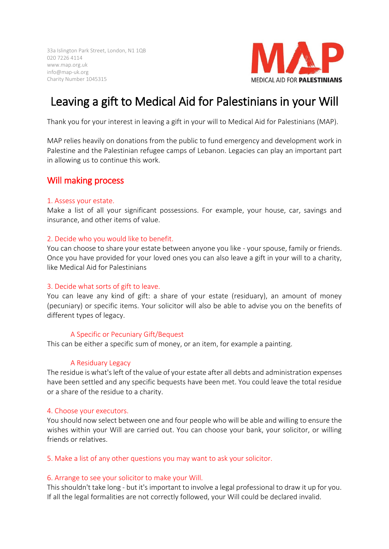33a Islington Park Street, London, N1 1QB 020 7226 4114 www.map.org.uk info@map-uk.org Charity Number 1045315



# Leaving a gift to Medical Aid for Palestinians in your Will

Thank you for your interest in leaving a gift in your will to Medical Aid for Palestinians (MAP).

MAP relies heavily on donations from the public to fund emergency and development work in Palestine and the Palestinian refugee camps of Lebanon. Legacies can play an important part in allowing us to continue this work.

# Will making process

### 1. Assess your estate.

Make a list of all your significant possessions. For example, your house, car, savings and insurance, and other items of value.

### 2. Decide who you would like to benefit.

You can choose to share your estate between anyone you like - your spouse, family or friends. Once you have provided for your loved ones you can also leave a gift in your will to a charity, like Medical Aid for Palestinians

#### 3. Decide what sorts of gift to leave.

You can leave any kind of gift: a share of your estate (residuary), an amount of money (pecuniary) or specific items. Your solicitor will also be able to advise you on the benefits of different types of legacy.

#### A Specific or Pecuniary Gift/Bequest

This can be either a specific sum of money, or an item, for example a painting.

# A Residuary Legacy

The residue is what's left of the value of your estate after all debts and administration expenses have been settled and any specific bequests have been met. You could leave the total residue or a share of the residue to a charity.

#### 4. Choose your executors.

You should now select between one and four people who will be able and willing to ensure the wishes within your Will are carried out. You can choose your bank, your solicitor, or willing friends or relatives.

#### 5. Make a list of any other questions you may want to ask your solicitor.

# 6. Arrange to see your solicitor to make your Will.

This shouldn't take long - but it's important to involve a legal professional to draw it up for you. If all the legal formalities are not correctly followed, your Will could be declared invalid.